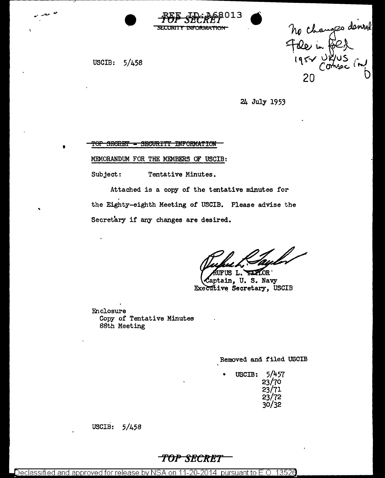

TNFORMATION

USCIB: 5/458

•

..

no changes demed<br>Fale in fold<br>1957 URUS<br>20

24 July 1953

TOP SEGRET - SECURITY INFORMATION

MEMORANDUM FOR THE MEMBERS OF USCIB:

Subject: Tentative Minutes.

Attached is a copy of the tentative minutes for the Eighty-eighth Meeting *ot* USCIB. Please advise the Secretary if any changes are desired.

TUFUS L. TAXLOR Captain, U.S. Navy Executive Secretary, USCIB

Enclosure Copy of Tentative Minutes 88th Meeting

Removed and filed USCIB

USCIB: 5/457 23/70 23/71 23/72 30/32

USCIB: 5/458

## **'f'OP SECRET**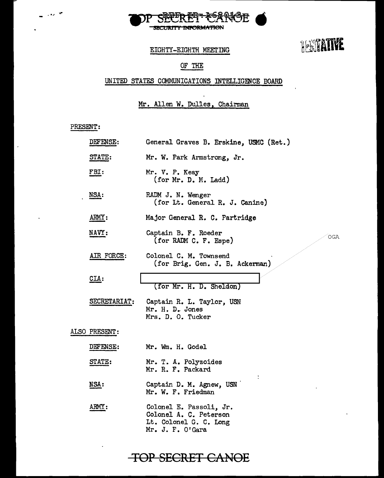

**TERTATIVE** 

### EIGHTY-EIGHTH MEETING

## OF THE

## UNITED STATES COMMUNICATIONS INTELLIGENCE BOARD

### Mr. Allen W. Dulles, Chairman

#### PRESENT':

-... ~·

| DEFENSE:      | General Graves B. Erskine, USMC (Ret.)                                                          |
|---------------|-------------------------------------------------------------------------------------------------|
| STATE:        | Mr. W. Park Armstrong, Jr.                                                                      |
| FBI:          | Mr. V. P. Keay<br>(for Mr. D. M. Ladd)                                                          |
| NSA:          | RADM J. N. Wenger<br>(for Lt. General R. J. Canine)                                             |
| ARMY:         | Major General R. C. Partridge                                                                   |
| <b>NAVY:</b>  | Captain B. F. Roeder<br>OGA<br>(for RADM C. F. Espe)                                            |
| AIR FORCE:    | Colonel C. M. Townsend<br>(for Brig. Gen. J. B. Ackerman)                                       |
| $CLA$ :       | (for Mr. H. D. Sheldon)                                                                         |
| SECRETARIAT:  | Captain R. L. Taylor, USN<br>Mr. H. D. Jones<br>Mrs. D. O. Tucker                               |
| ALSO PRESENT: |                                                                                                 |
| DEFENSE:      | Mr. Wm. H. Godel                                                                                |
| <b>STATE:</b> | Mr. T. A. Polyzoides<br>Mr. R. F. Packard                                                       |
| NSA:          | Captain D. M. Agnew, USN<br>Mr. W. F. Friedman                                                  |
| ARMY:         | Colonel E. Passoli, Jr.<br>Colonel A. C. Peterson<br>Lt. Colonel G. C. Long<br>Mr. J. F. O'Gara |

# **TOP SECRET CANOE**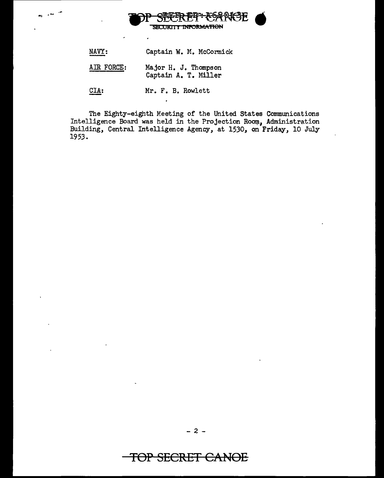

| NAVY: |  | Captain W. M. McCormick |
|-------|--|-------------------------|
|       |  |                         |

AIR FORCE: Major H. J. Thompson Captain A. T. Miller

CIA: Mr. F. B. Rowlett

The Eighty-eighth Meeting of the United States Communications Intelligence Board was held in the Projection Room, Administration Building, Central Intelligence Agency, at 1530, on Friday, 10 July 1953.

# TOP **SECRET CANOE**